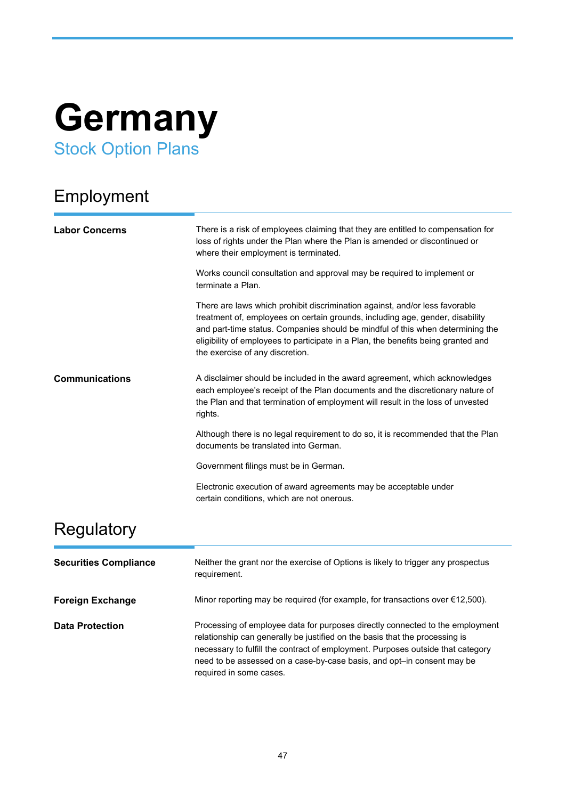# **Germany** Stock Option Plans

## Employment

| <b>Labor Concerns</b> | There is a risk of employees claiming that they are entitled to compensation for<br>loss of rights under the Plan where the Plan is amended or discontinued or<br>where their employment is terminated.                                                                                                                                                                |
|-----------------------|------------------------------------------------------------------------------------------------------------------------------------------------------------------------------------------------------------------------------------------------------------------------------------------------------------------------------------------------------------------------|
|                       | Works council consultation and approval may be required to implement or<br>terminate a Plan.                                                                                                                                                                                                                                                                           |
|                       | There are laws which prohibit discrimination against, and/or less favorable<br>treatment of, employees on certain grounds, including age, gender, disability<br>and part-time status. Companies should be mindful of this when determining the<br>eligibility of employees to participate in a Plan, the benefits being granted and<br>the exercise of any discretion. |
| <b>Communications</b> | A disclaimer should be included in the award agreement, which acknowledges<br>each employee's receipt of the Plan documents and the discretionary nature of<br>the Plan and that termination of employment will result in the loss of unvested<br>rights.                                                                                                              |
|                       | Although there is no legal requirement to do so, it is recommended that the Plan<br>documents be translated into German.                                                                                                                                                                                                                                               |
|                       | Government filings must be in German.                                                                                                                                                                                                                                                                                                                                  |
|                       | Electronic execution of award agreements may be acceptable under<br>certain conditions, which are not onerous.                                                                                                                                                                                                                                                         |
| Regulatory            |                                                                                                                                                                                                                                                                                                                                                                        |

| <b>Securities Compliance</b> | Neither the grant nor the exercise of Options is likely to trigger any prospectus<br>requirement.                                                                                                                                                                                                                                                    |
|------------------------------|------------------------------------------------------------------------------------------------------------------------------------------------------------------------------------------------------------------------------------------------------------------------------------------------------------------------------------------------------|
| <b>Foreign Exchange</b>      | Minor reporting may be required (for example, for transactions over $\epsilon$ 12,500).                                                                                                                                                                                                                                                              |
| <b>Data Protection</b>       | Processing of employee data for purposes directly connected to the employment<br>relationship can generally be justified on the basis that the processing is<br>necessary to fulfill the contract of employment. Purposes outside that category<br>need to be assessed on a case-by-case basis, and opt-in consent may be<br>required in some cases. |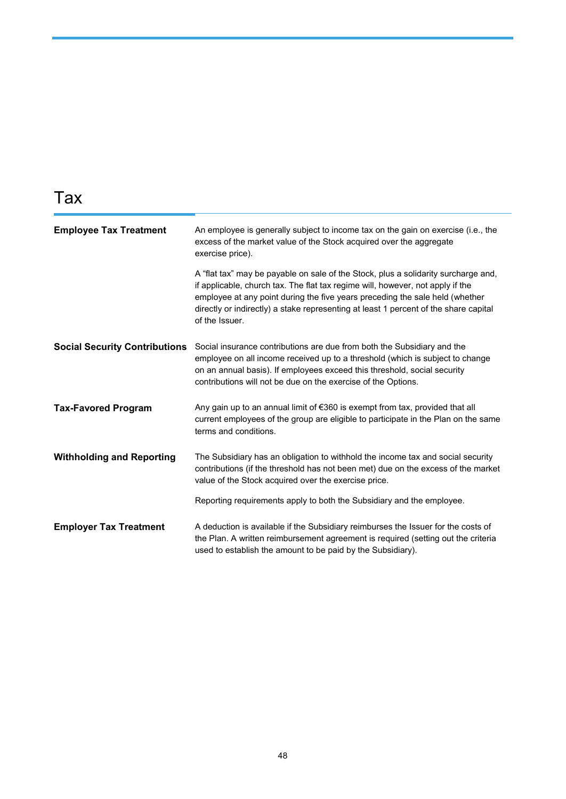### Tax

| <b>Employee Tax Treatment</b>        | An employee is generally subject to income tax on the gain on exercise (i.e., the<br>excess of the market value of the Stock acquired over the aggregate<br>exercise price).                                                                                                                                                                                   |
|--------------------------------------|----------------------------------------------------------------------------------------------------------------------------------------------------------------------------------------------------------------------------------------------------------------------------------------------------------------------------------------------------------------|
|                                      | A "flat tax" may be payable on sale of the Stock, plus a solidarity surcharge and,<br>if applicable, church tax. The flat tax regime will, however, not apply if the<br>employee at any point during the five years preceding the sale held (whether<br>directly or indirectly) a stake representing at least 1 percent of the share capital<br>of the Issuer. |
| <b>Social Security Contributions</b> | Social insurance contributions are due from both the Subsidiary and the<br>employee on all income received up to a threshold (which is subject to change<br>on an annual basis). If employees exceed this threshold, social security<br>contributions will not be due on the exercise of the Options.                                                          |
| <b>Tax-Favored Program</b>           | Any gain up to an annual limit of $\epsilon$ 360 is exempt from tax, provided that all<br>current employees of the group are eligible to participate in the Plan on the same<br>terms and conditions.                                                                                                                                                          |
| <b>Withholding and Reporting</b>     | The Subsidiary has an obligation to withhold the income tax and social security<br>contributions (if the threshold has not been met) due on the excess of the market<br>value of the Stock acquired over the exercise price.                                                                                                                                   |
|                                      | Reporting requirements apply to both the Subsidiary and the employee.                                                                                                                                                                                                                                                                                          |
| <b>Employer Tax Treatment</b>        | A deduction is available if the Subsidiary reimburses the Issuer for the costs of<br>the Plan. A written reimbursement agreement is required (setting out the criteria<br>used to establish the amount to be paid by the Subsidiary).                                                                                                                          |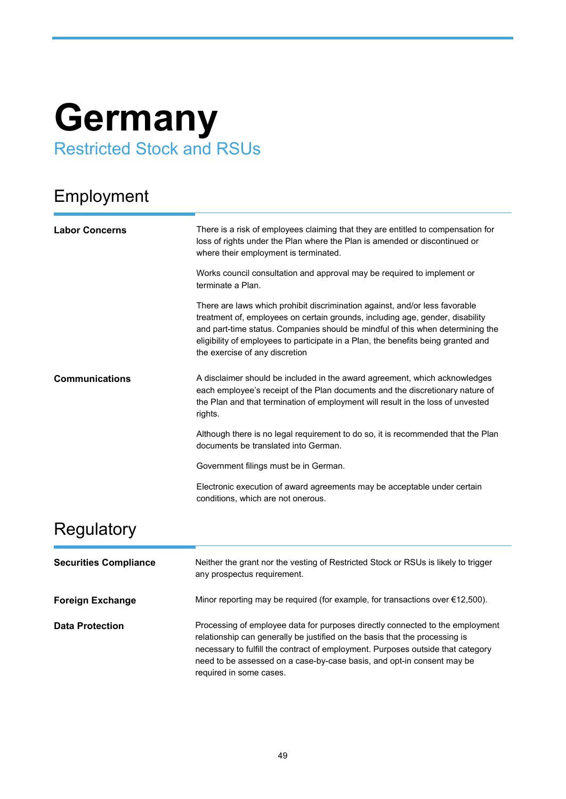# **Germany** Restricted Stock and RSUs

## Employment

| <b>Labor Concerns</b> | There is a risk of employees claiming that they are entitled to compensation for<br>loss of rights under the Plan where the Plan is amended or discontinued or<br>where their employment is terminated.                                                                                                                                                               |
|-----------------------|-----------------------------------------------------------------------------------------------------------------------------------------------------------------------------------------------------------------------------------------------------------------------------------------------------------------------------------------------------------------------|
|                       | Works council consultation and approval may be required to implement or<br>terminate a Plan.                                                                                                                                                                                                                                                                          |
|                       | There are laws which prohibit discrimination against, and/or less favorable<br>treatment of, employees on certain grounds, including age, gender, disability<br>and part-time status. Companies should be mindful of this when determining the<br>eligibility of employees to participate in a Plan, the benefits being granted and<br>the exercise of any discretion |
| <b>Communications</b> | A disclaimer should be included in the award agreement, which acknowledges<br>each employee's receipt of the Plan documents and the discretionary nature of<br>the Plan and that termination of employment will result in the loss of unvested<br>rights.                                                                                                             |
|                       | Although there is no legal requirement to do so, it is recommended that the Plan<br>documents be translated into German.                                                                                                                                                                                                                                              |
|                       | Government filings must be in German.                                                                                                                                                                                                                                                                                                                                 |
|                       | Electronic execution of award agreements may be acceptable under certain<br>conditions, which are not onerous.                                                                                                                                                                                                                                                        |
| Regulatory            |                                                                                                                                                                                                                                                                                                                                                                       |

| <b>Securities Compliance</b> | Neither the grant nor the vesting of Restricted Stock or RSUs is likely to trigger<br>any prospectus requirement.                                                                                                                                                                                                                                    |
|------------------------------|------------------------------------------------------------------------------------------------------------------------------------------------------------------------------------------------------------------------------------------------------------------------------------------------------------------------------------------------------|
| <b>Foreign Exchange</b>      | Minor reporting may be required (for example, for transactions over $\epsilon$ 12,500).                                                                                                                                                                                                                                                              |
| <b>Data Protection</b>       | Processing of employee data for purposes directly connected to the employment<br>relationship can generally be justified on the basis that the processing is<br>necessary to fulfill the contract of employment. Purposes outside that category<br>need to be assessed on a case-by-case basis, and opt-in consent may be<br>required in some cases. |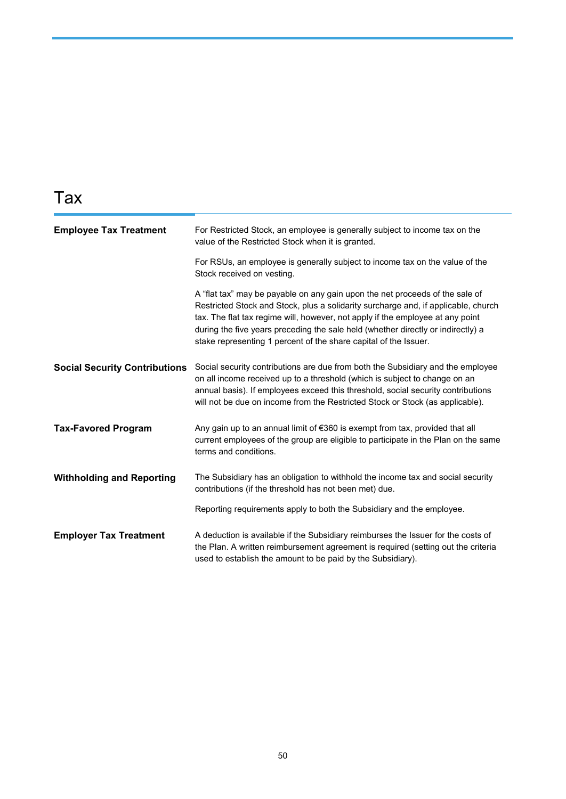#### Tax

| <b>Employee Tax Treatment</b>        | For Restricted Stock, an employee is generally subject to income tax on the<br>value of the Restricted Stock when it is granted.                                                                                                                                                                                                                                                                             |
|--------------------------------------|--------------------------------------------------------------------------------------------------------------------------------------------------------------------------------------------------------------------------------------------------------------------------------------------------------------------------------------------------------------------------------------------------------------|
|                                      | For RSUs, an employee is generally subject to income tax on the value of the<br>Stock received on vesting.                                                                                                                                                                                                                                                                                                   |
|                                      | A "flat tax" may be payable on any gain upon the net proceeds of the sale of<br>Restricted Stock and Stock, plus a solidarity surcharge and, if applicable, church<br>tax. The flat tax regime will, however, not apply if the employee at any point<br>during the five years preceding the sale held (whether directly or indirectly) a<br>stake representing 1 percent of the share capital of the Issuer. |
| <b>Social Security Contributions</b> | Social security contributions are due from both the Subsidiary and the employee<br>on all income received up to a threshold (which is subject to change on an<br>annual basis). If employees exceed this threshold, social security contributions<br>will not be due on income from the Restricted Stock or Stock (as applicable).                                                                           |
| <b>Tax-Favored Program</b>           | Any gain up to an annual limit of €360 is exempt from tax, provided that all<br>current employees of the group are eligible to participate in the Plan on the same<br>terms and conditions.                                                                                                                                                                                                                  |
| <b>Withholding and Reporting</b>     | The Subsidiary has an obligation to withhold the income tax and social security<br>contributions (if the threshold has not been met) due.                                                                                                                                                                                                                                                                    |
|                                      | Reporting requirements apply to both the Subsidiary and the employee.                                                                                                                                                                                                                                                                                                                                        |
| <b>Employer Tax Treatment</b>        | A deduction is available if the Subsidiary reimburses the Issuer for the costs of<br>the Plan. A written reimbursement agreement is required (setting out the criteria<br>used to establish the amount to be paid by the Subsidiary).                                                                                                                                                                        |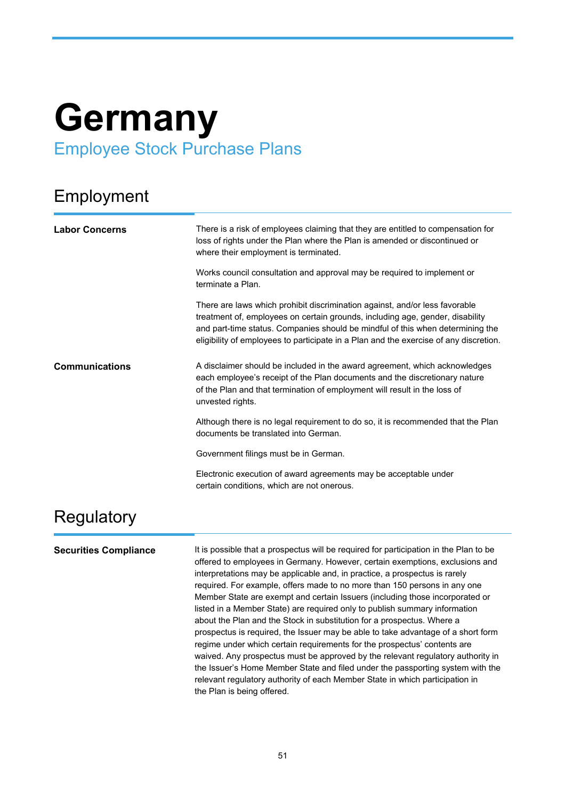## **Germany** Employee Stock Purchase Plans

#### Employment

| <b>Labor Concerns</b> | There is a risk of employees claiming that they are entitled to compensation for<br>loss of rights under the Plan where the Plan is amended or discontinued or<br>where their employment is terminated.                                                                                                                                 |
|-----------------------|-----------------------------------------------------------------------------------------------------------------------------------------------------------------------------------------------------------------------------------------------------------------------------------------------------------------------------------------|
|                       | Works council consultation and approval may be required to implement or<br>terminate a Plan.                                                                                                                                                                                                                                            |
|                       | There are laws which prohibit discrimination against, and/or less favorable<br>treatment of, employees on certain grounds, including age, gender, disability<br>and part-time status. Companies should be mindful of this when determining the<br>eligibility of employees to participate in a Plan and the exercise of any discretion. |
| <b>Communications</b> | A disclaimer should be included in the award agreement, which acknowledges<br>each employee's receipt of the Plan documents and the discretionary nature<br>of the Plan and that termination of employment will result in the loss of<br>unvested rights.                                                                               |
|                       | Although there is no legal requirement to do so, it is recommended that the Plan<br>documents be translated into German.                                                                                                                                                                                                                |
|                       | Government filings must be in German.                                                                                                                                                                                                                                                                                                   |
|                       | Electronic execution of award agreements may be acceptable under<br>certain conditions, which are not onerous.                                                                                                                                                                                                                          |
| Regulatory            |                                                                                                                                                                                                                                                                                                                                         |

**Securities Compliance** It is possible that a prospectus will be required for participation in the Plan to be offered to employees in Germany. However, certain exemptions, exclusions and interpretations may be applicable and, in practice, a prospectus is rarely required. For example, offers made to no more than 150 persons in any one Member State are exempt and certain Issuers (including those incorporated or listed in a Member State) are required only to publish summary information about the Plan and the Stock in substitution for a prospectus. Where a prospectus is required, the Issuer may be able to take advantage of a short form regime under which certain requirements for the prospectus' contents are waived. Any prospectus must be approved by the relevant regulatory authority in the Issuer's Home Member State and filed under the passporting system with the relevant regulatory authority of each Member State in which participation in the Plan is being offered.